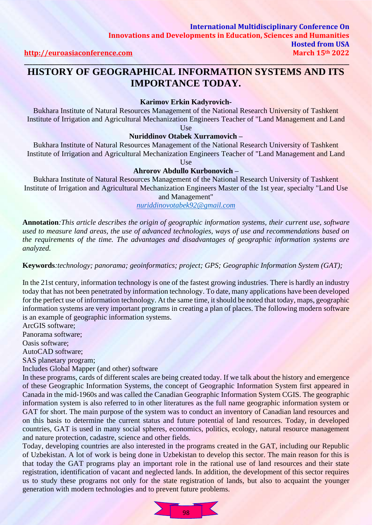## **HISTORY OF GEOGRAPHICAL INFORMATION SYSTEMS AND ITS IMPORTANCE TODAY.**

**\_\_\_\_\_\_\_\_\_\_\_\_\_\_\_\_\_\_\_\_\_\_\_\_\_\_\_\_\_\_\_\_\_\_\_\_\_\_\_\_\_\_\_\_\_\_\_\_\_\_\_\_\_\_\_\_\_\_\_\_\_\_\_\_\_\_\_\_\_\_\_\_\_\_\_\_\_\_\_\_\_\_\_\_\_\_\_\_\_\_\_\_\_\_\_\_\_\_\_\_\_\_\_\_\_\_\_\_\_\_\_\_\_\_\_\_\_** 

**Karimov Erkin Kadyrovich-**

Bukhara Institute of Natural Resources Management of the National Research University of Tashkent Institute of Irrigation and Agricultural Mechanization Engineers Teacher of "Land Management and Land

Use

#### **Nuriddinov Otabek Xurramovich –**

Bukhara Institute of Natural Resources Management of the National Research University of Tashkent Institute of Irrigation and Agricultural Mechanization Engineers Teacher of "Land Management and Land

Use

#### **Ahrorov Abdullo Kurbonovich –**

Bukhara Institute of Natural Resources Management of the National Research University of Tashkent Institute of Irrigation and Agricultural Mechanization Engineers Master of the 1st year, specialty "Land Use

and Management" *[nuriddinovotabek92@gmail.com](mailto:nuriddinovotabek92@gmail.com)*

**Annotation***:This article describes the origin of geographic information systems, their current use, software used to measure land areas, the use of advanced technologies, ways of use and recommendations based on the requirements of the time. The advantages and disadvantages of geographic information systems are analyzed.*

**Keywords***:technology; panorama; geoinformatics; project; GPS; Geographic Information System (GAT);* 

In the 21st century, information technology is one of the fastest growing industries. There is hardly an industry today that has not been penetrated by information technology. To date, many applications have been developed for the perfect use of information technology. At the same time, it should be noted that today, maps, geographic information systems are very important programs in creating a plan of places. The following modern software is an example of geographic information systems.

ArcGIS software;

Panorama software;

Oasis software;

AutoCAD software;

SAS planetary program;

Includes Global Mapper (and other) software

In these programs, cards of different scales are being created today. If we talk about the history and emergence of these Geographic Information Systems, the concept of Geographic Information System first appeared in Canada in the mid-1960s and was called the Canadian Geographic Information System CGIS. The geographic information system is also referred to in other literatures as the full name geographic information system or GAT for short. The main purpose of the system was to conduct an inventory of Canadian land resources and on this basis to determine the current status and future potential of land resources. Today, in developed countries, GAT is used in many social spheres, economics, politics, ecology, natural resource management and nature protection, cadastre, science and other fields.

Today, developing countries are also interested in the programs created in the GAT, including our Republic of Uzbekistan. A lot of work is being done in Uzbekistan to develop this sector. The main reason for this is that today the GAT programs play an important role in the rational use of land resources and their state registration, identification of vacant and neglected lands. In addition, the development of this sector requires us to study these programs not only for the state registration of lands, but also to acquaint the younger generation with modern technologies and to prevent future problems.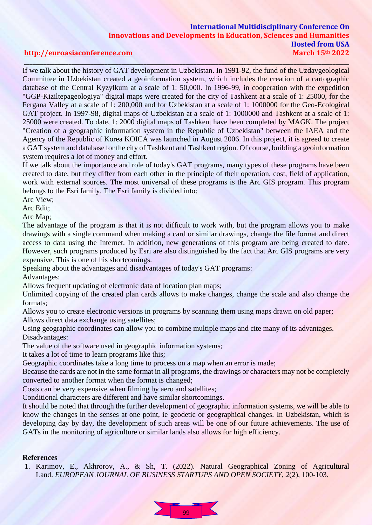### **International Multidisciplinary Conference On Innovations and Developments in Education, Sciences and Humanities Hosted from USA [http://euroasiaconference.com](http://euroasiaconference.com/) March 15th 2022**

# **\_\_\_\_\_\_\_\_\_\_\_\_\_\_\_\_\_\_\_\_\_\_\_\_\_\_\_\_\_\_\_\_\_\_\_\_\_\_\_\_\_\_\_\_\_\_\_\_\_\_\_\_\_\_\_\_\_\_\_\_\_\_\_\_\_\_\_\_\_\_\_\_\_\_\_\_\_\_\_\_\_\_\_\_\_\_\_\_\_\_\_\_\_\_\_\_\_\_\_\_\_\_\_\_\_\_\_\_\_\_\_\_\_\_\_\_\_**

If we talk about the history of GAT development in Uzbekistan. In 1991-92, the fund of the Uzdavgeological Committee in Uzbekistan created a geoinformation system, which includes the creation of a cartographic database of the Central Kyzylkum at a scale of 1: 50,000. In 1996-99, in cooperation with the expedition "GGP-Kiziltepageologiya" digital maps were created for the city of Tashkent at a scale of 1: 25000, for the Fergana Valley at a scale of 1: 200,000 and for Uzbekistan at a scale of 1: 1000000 for the Geo-Ecological GAT project. In 1997-98, digital maps of Uzbekistan at a scale of 1: 1000000 and Tashkent at a scale of 1: 25000 were created. To date, 1: 2000 digital maps of Tashkent have been completed by MAGK. The project "Creation of a geographic information system in the Republic of Uzbekistan" between the IAEA and the Agency of the Republic of Korea KOICA was launched in August 2006. In this project, it is agreed to create a GAT system and database for the city of Tashkent and Tashkent region. Of course, building a geoinformation system requires a lot of money and effort.

If we talk about the importance and role of today's GAT programs, many types of these programs have been created to date, but they differ from each other in the principle of their operation, cost, field of application, work with external sources. The most universal of these programs is the Arc GIS program. This program belongs to the Esri family. The Esri family is divided into:

Arc View;

Arc Edit;

Arc Map;

The advantage of the program is that it is not difficult to work with, but the program allows you to make drawings with a single command when making a card or similar drawings, change the file format and direct access to data using the Internet. In addition, new generations of this program are being created to date. However, such programs produced by Esri are also distinguished by the fact that Arc GIS programs are very expensive. This is one of his shortcomings.

Speaking about the advantages and disadvantages of today's GAT programs:

Advantages:

Allows frequent updating of electronic data of location plan maps;

Unlimited copying of the created plan cards allows to make changes, change the scale and also change the formats;

Allows you to create electronic versions in programs by scanning them using maps drawn on old paper; Allows direct data exchange using satellites;

Using geographic coordinates can allow you to combine multiple maps and cite many of its advantages. Disadvantages:

The value of the software used in geographic information systems;

It takes a lot of time to learn programs like this;

Geographic coordinates take a long time to process on a map when an error is made;

Because the cards are not in the same format in all programs, the drawings or characters may not be completely converted to another format when the format is changed;

Costs can be very expensive when filming by aero and satellites;

Conditional characters are different and have similar shortcomings.

It should be noted that through the further development of geographic information systems, we will be able to know the changes in the senses at one point, ie geodetic or geographical changes. In Uzbekistan, which is developing day by day, the development of such areas will be one of our future achievements. The use of GATs in the monitoring of agriculture or similar lands also allows for high efficiency.

#### **References**

1. Karimov, E., Akhrorov, A., & Sh, T. (2022). Natural Geographical Zoning of Agricultural Land. *EUROPEAN JOURNAL OF BUSINESS STARTUPS AND OPEN SOCIETY*, *2*(2), 100-103.

 $99 -$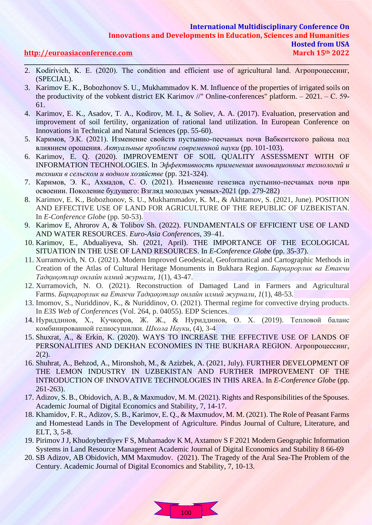### **International Multidisciplinary Conference On Innovations and Developments in Education, Sciences and Humanities Hosted from USA [http://euroasiaconference.com](http://euroasiaconference.com/) March 15th 2022 \_\_\_\_\_\_\_\_\_\_\_\_\_\_\_\_\_\_\_\_\_\_\_\_\_\_\_\_\_\_\_\_\_\_\_\_\_\_\_\_\_\_\_\_\_\_\_\_\_\_\_\_\_\_\_\_\_\_\_\_\_\_\_\_\_\_\_\_\_\_\_\_\_\_\_\_\_\_\_\_\_\_\_\_\_\_\_\_\_\_\_\_\_\_\_\_\_\_\_\_\_\_\_\_\_\_\_\_\_\_\_\_\_\_\_\_\_**

- 2. Kodirivich, K. E. (2020). The condition and efficient use of agricultural land. Агропроцессинг, (SPECIAL).
- 3. Karimov E. K., Bobozhonov S. U., Mukhammadov K. M. Influence of the properties of irrigated soils on the productivity of the vobkent district EK Karimov //" Online-conferences" platform. – 2021. – С. 59- 61.
- 4. Karimov, E. K., Asadov, T. A., Kodirov, M. I., & Soliev, A. A. (2017). Evaluation, preservation and improvement of soil fertility, organization of rational land utilization. In European Conference on Innovations in Technical and Natural Sciences (pp. 55-60).
- 5. Каримов, Э.К. (2021). Изменение свойств пустынно-песчаных почв Вабкентского района под влиянием орошения. *Актуальные проблемы современной науки* (pp. 101-103).
- 6. Karimov, E. Q. (2020). IMPROVEMENT OF SOIL QUALITY ASSESSMENT WITH OF INFORMATION TECHNOLOGIES. In *Эффективность применения инновационных технологий и техники в сельском и водном хозяйстве* (pp. 321-324).
- 7. Каримов, Э. К., Ахмадов, С. О. (2021). Изменение генезиса пустынно-песчаных почв при освоении. Поколение будущего: Взгляд молодых ученых-2021 (pp. 279-282)
- 8. Karimov, E. K., Bobozhonov, S. U., Mukhammadov, K. M., & Akhtamov, S. (2021, June). POSITION AND EFFECTIVE USE OF LAND FOR AGRICULTURE OF THE REPUBLIC OF UZBEKISTAN. In *E-Conference Globe* (pp. 50-53).
- 9. Karimov E, Ahrorov A, & Tolibov Sh. (2022). FUNDAMENTALS OF EFFICIENT USE OF LAND AND WATER RESOURCES. *Euro-Asia Conferences*, 39–41.
- 10. Karimov, E., Abdualiyeva, Sh. (2021, April). THE IMPORTANCE OF THE ECOLOGICAL SITUATION IN THE USE OF LAND RESOURCES. In *E-Conference Globe* (pp. 35-37).
- 11. Xurramovich, N. O. (2021). Modern Improved Geodesical, Geoformatical and Cartographic Methods in Creation of the Atlas of Cultural Heritage Monuments in Bukhara Region. *Барқарорлик ва Етакчи Тадқиқотлар онлайн илмий журнали*, *1*(1), 43-47.
- 12. Xurramovich, N. O. (2021). Reconstruction of Damaged Land in Farmers and Agricultural Farms. *Барқарорлик ва Етакчи Тадқиқотлар онлайн илмий журнали*, *1*(1), 48-53.
- 13. Imomov, S., Nuriddinov, K., & Nuriddinov, O. (2021). Thermal regime for convective drying products. In *E3S Web of Conferences* (Vol. 264, p. 04055). EDP Sciences.
- 14. Нуриддинов, Х., Кучкоров, Ж. Ж., & Нуриддинов, О. Х. (2019). Тепловой баланс комбинированной гелиосушилки. *Школа Науки*, (4), 3-4
- 15. Shuxrat, A., & Erkin, K. (2020). WAYS TO INCREASE THE EFFECTIVE USE OF LANDS OF PERSONALITIES AND DEKHAN ECONOMIES IN THE BUKHARA REGION. Агропроцессинг,  $2(2)$ .
- 16. Shuhrat, A., Behzod, A., Mironshoh, M., & Azizbek, A. (2021, July). FURTHER DEVELOPMENT OF THE LEMON INDUSTRY IN UZBEKISTAN AND FURTHER IMPROVEMENT OF THE INTRODUCTION OF INNOVATIVE TECHNOLOGIES IN THIS AREA. In *E-Conference Globe* (pp. 261-263).
- 17. Adizov, S. B., Obidovich, A. B., & Maxmudov, M. M. (2021). Rights and Responsibilities of the Spouses. Academic Journal of Digital Economics and Stability, 7, 14-17.
- 18. Khamidov, F. R., Adizov, S. B., Karimov, E. Q., & Maxmudov, M. M. (2021). The Role of Peasant Farms and Homestead Lands in The Development of Agriculture. Pindus Journal of Culture, Literature, and ELT, 3, 5-8.
- 19. Pirimov J J, Khudoyberdiyev F S, Muhamadov K M, Axtamov S F 2021 Modern Geographic Information Systems in Land Resource Management Academic Journal of Digital Economics and Stability 8 66-69
- 20. SB Adizov, AB Obidovich, MM Maxmudov. (2021). The Tragedy of the Aral Sea-The Problem of the Century. Academic Journal of Digital Economics and Stability, 7, 10-13.